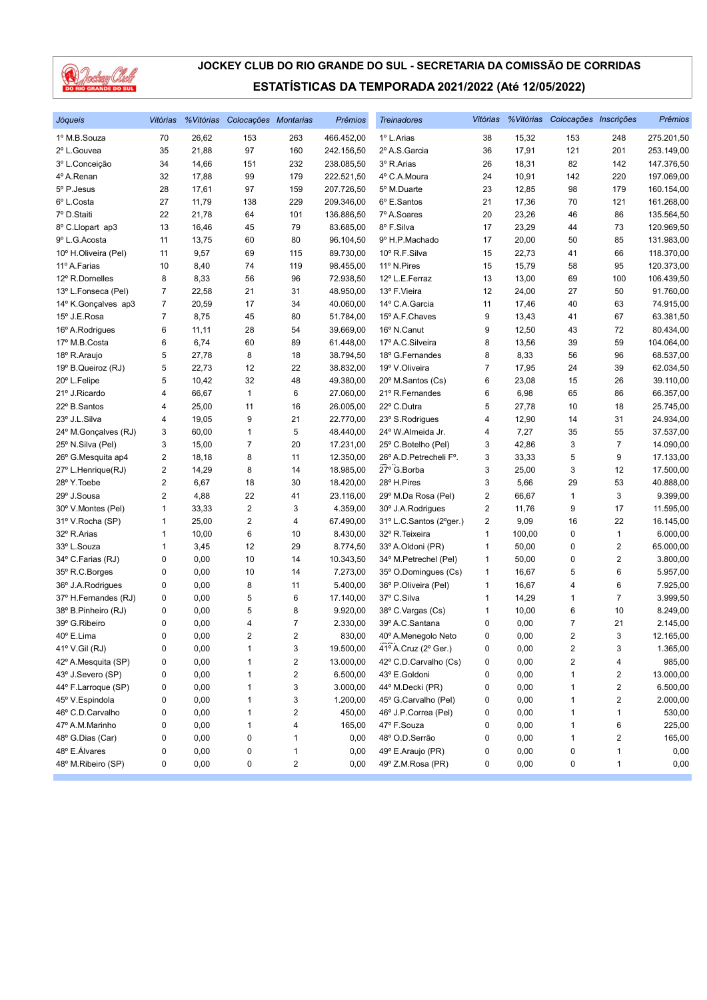

| Jóqueis              | Vitórias |        | % Vitórias Colocações Montarias |                         | Prêmios    | <b>Treinadores</b>      |    |        | Vitórias % Vitórias Colocações Inscrições |                         | Prêmios    |
|----------------------|----------|--------|---------------------------------|-------------------------|------------|-------------------------|----|--------|-------------------------------------------|-------------------------|------------|
| 1º M.B.Souza         | 70       | 26,62  | 153                             | 263                     | 466.452,00 | 1º L.Arias              | 38 | 15,32  | 153                                       | 248                     | 275.201,50 |
| 2º L.Gouvea          | 35       | 21,88  | 97                              | 160                     | 242.156,50 | 2º A.S. Garcia          | 36 | 17,91  | 121                                       | 201                     | 253.149,00 |
| 3º L.Conceição       | 34       | 14,66  | 151                             | 232                     | 238.085,50 | 3º R.Arias              | 26 | 18,31  | 82                                        | 142                     | 147.376,50 |
| 4º A.Renan           | 32       | 17,88  | 99                              | 179                     | 222.521,50 | 4º C.A.Moura            | 24 | 10,91  | 142                                       | 220                     | 197.069,00 |
| 5º P.Jesus           | 28       | 17,61  | 97                              | 159                     | 207.726,50 | 5º M.Duarte             | 23 | 12,85  | 98                                        | 179                     | 160.154,00 |
| 6º L.Costa           | 27       | 11,79  | 138                             | 229                     | 209.346,00 | 6° E.Santos             | 21 | 17,36  | 70                                        | 121                     | 161.268,00 |
| 7º D.Staiti          | 22       | 21,78  | 64                              | 101                     | 136.886,50 | 7º A.Soares             | 20 | 23,26  | 46                                        | 86                      | 135.564,50 |
| 8º C.Llopart ap3     | 13       | 16,46  | 45                              | 79                      | 83.685,00  | 8º F.Silva              | 17 | 23,29  | 44                                        | 73                      | 120.969,50 |
| 9º L.G.Acosta        | 11       | 13,75  | 60                              | 80                      | 96.104,50  | 9º H.P.Machado          | 17 | 20,00  | 50                                        | 85                      | 131.983,00 |
| 10° H.Oliveira (Pel) | 11       | 9,57   | 69                              | 115                     | 89.730,00  | 10° R.F.Silva           | 15 | 22,73  | 41                                        | 66                      | 118.370,00 |
| 11º A.Farias         | 10       | 8,40   | 74                              | 119                     | 98.455,00  | 11º N.Pires             | 15 | 15,79  | 58                                        | 95                      | 120.373,00 |
| 12º R.Dornelles      | 8        | 8,33   | 56                              | 96                      | 72.938,50  | 12º L.E.Ferraz          | 13 | 13,00  | 69                                        | 100                     | 106.439,50 |
| 13º L.Fonseca (Pel)  | 7        | 22,58  | 21                              | 31                      | 48.950,00  | 13º F.Vieira            | 12 | 24,00  | 27                                        | 50                      | 91.760,00  |
| 14º K.Gonçalves ap3  | 7        | 20,59  | 17                              | 34                      | 40.060,00  | 14° C.A.Garcia          | 11 | 17,46  | 40                                        | 63                      | 74.915,00  |
| 15º J.E.Rosa         | 7        | 8,75   | 45                              | 80                      | 51.784,00  | 15º A.F.Chaves          | 9  | 13,43  | 41                                        | 67                      | 63.381,50  |
| 16° A.Rodrigues      | 6        | 11, 11 | 28                              | 54                      | 39.669,00  | 16° N.Canut             | 9  | 12,50  | 43                                        | 72                      | 80.434,00  |
| 17º M.B.Costa        | 6        | 6,74   | 60                              | 89                      | 61.448,00  | 17º A.C.Silveira        | 8  | 13,56  | 39                                        | 59                      | 104.064,00 |
| 18º R.Araujo         | 5        | 27,78  | 8                               | 18                      | 38.794,50  | 18º G.Fernandes         | 8  | 8,33   | 56                                        | 96                      | 68.537,00  |
| 19º B.Queiroz (RJ)   | 5        | 22,73  | 12                              | 22                      | 38.832,00  | 19° V.Oliveira          | 7  | 17,95  | 24                                        | 39                      | 62.034,50  |
| 20° L.Felipe         | 5        | 10,42  | 32                              | 48                      | 49.380,00  | 20° M.Santos (Cs)       | 6  | 23,08  | 15                                        | 26                      | 39.110,00  |
| 21º J.Ricardo        | 4        | 66,67  | $\mathbf{1}$                    | 6                       | 27.060,00  | 21º R.Fernandes         | 6  | 6,98   | 65                                        | 86                      | 66.357,00  |
| 22° B.Santos         | 4        | 25,00  | 11                              | 16                      | 26.005,00  | 22° C.Dutra             | 5  | 27,78  | 10                                        | 18                      | 25.745,00  |
| 23° J.L.Silva        | 4        | 19,05  | 9                               | 21                      | 22.770,00  | 23° S.Rodrigues         | 4  | 12,90  | 14                                        | 31                      | 24.934,00  |
| 24° M.Gonçalves (RJ) | 3        | 60,00  | $\mathbf{1}$                    | 5                       | 48.440,00  | 24° W.Almeida Jr.       | 4  | 7,27   | 35                                        | 55                      | 37.537,00  |
| 25° N.Silva (Pel)    | 3        | 15,00  | $\overline{7}$                  | 20                      | 17.231,00  | 25° C.Botelho (Pel)     | 3  | 42,86  | 3                                         | $\overline{7}$          | 14.090,00  |
| 26° G.Mesquita ap4   | 2        | 18,18  | 8                               | 11                      | 12.350,00  | 26° A.D. Petrecheli F°. | 3  | 33,33  | 5                                         | 9                       | 17.133,00  |
| 27° L.Henrique(RJ)   | 2        | 14,29  | 8                               | 14                      | 18.985,00  | 27° G.Borba             | 3  | 25,00  | 3                                         | 12                      | 17.500,00  |
| 28° Y. Toebe         | 2        | 6,67   | 18                              | 30                      | 18.420,00  | 28° H.Pires             | 3  | 5,66   | 29                                        | 53                      | 40.888,00  |
| 29° J.Sousa          | 2        | 4,88   | 22                              | 41                      | 23.116,00  | 29° M.Da Rosa (Pel)     | 2  | 66,67  | 1                                         | 3                       | 9.399,00   |
| 30° V.Montes (Pel)   | 1        | 33,33  | $\overline{\mathbf{c}}$         | 3                       | 4.359,00   | 30° J.A.Rodrigues       | 2  | 11,76  | 9                                         | 17                      | 11.595,00  |
| 31º V.Rocha (SP)     | 1        | 25,00  | $\overline{\mathbf{c}}$         | 4                       | 67.490,00  | 31º L.C.Santos (2ºger.) | 2  | 9,09   | 16                                        | 22                      | 16.145,00  |
| 32° R.Arias          | 1        | 10,00  | 6                               | 10                      | 8.430,00   | 32º R. Teixeira         | 1  | 100,00 | $\pmb{0}$                                 | $\mathbf{1}$            | 6.000,00   |
| 33º L.Souza          | 1        | 3,45   | 12                              | 29                      | 8.774,50   | 33º A.Oldoni (PR)       | 1  | 50,00  | $\pmb{0}$                                 | 2                       | 65.000,00  |
| 34° C.Farias (RJ)    | 0        | 0,00   | 10                              | 14                      | 10.343,50  | 34° M.Petrechel (Pel)   | 1  | 50,00  | 0                                         | $\overline{\mathbf{c}}$ | 3.800,00   |
| 35° R.C.Borges       | 0        | 0,00   | 10                              | 14                      | 7.273,00   | 35° O.Domingues (Cs)    | 1  | 16,67  | 5                                         | 6                       | 5.957,00   |
| 36° J.A.Rodrigues    | 0        | 0,00   | 8                               | 11                      | 5.400,00   | 36° P.Oliveira (Pel)    | 1  | 16,67  | 4                                         | 6                       | 7.925,00   |
| 37º H.Fernandes (RJ) | 0        | 0,00   | 5                               | 6                       | 17.140,00  | 37º C.Silva             | 1  | 14,29  | 1                                         | $\overline{7}$          | 3.999,50   |
| 38° B.Pinheiro (RJ)  | 0        | 0,00   | 5                               | 8                       | 9.920,00   | 38° C.Vargas (Cs)       | 1  | 10,00  | 6                                         | 10                      | 8.249,00   |
| 39° G.Ribeiro        | 0        | 0,00   | 4                               | 7                       | 2.330,00   | 39º A.C.Santana         | 0  | 0,00   | 7                                         | 21                      | 2.145,00   |
| 40° E.Lima           | 0        | 0,00   | $\overline{2}$                  | $\overline{2}$          | 830,00     | 40° A.Menegolo Neto     | 0  | 0,00   | $\overline{2}$                            | 3                       | 12.165,00  |
| 41º V.Gil (RJ)       | 0        | 0,00   | 1                               | 3                       | 19.500,00  | 41º A.Cruz (2º Ger.)    | 0  | 0,00   | $\overline{\mathbf{c}}$                   | 3                       | 1.365,00   |
| 42º A.Mesquita (SP)  | 0        | 0,00   | 1                               | 2                       | 13.000,00  | 42° C.D.Carvalho (Cs)   | 0  | 0,00   | 2                                         | 4                       | 985,00     |
| 43º J.Severo (SP)    | 0        | 0,00   | 1                               | 2                       | 6.500,00   | 43° E.Goldoni           | 0  | 0,00   | 1                                         | $\overline{\mathbf{c}}$ | 13.000,00  |
| 44° F.Larroque (SP)  | 0        | 0,00   | 1                               | 3                       | 3.000,00   | 44° M.Decki (PR)        | 0  | 0,00   | 1                                         | $\sqrt{2}$              | 6.500,00   |
| 45° V.Espindola      | 0        | 0,00   | 1                               | 3                       | 1.200,00   | 45° G.Carvalho (Pel)    | 0  | 0,00   | 1                                         | $\sqrt{2}$              | 2.000,00   |
| 46° C.D.Carvalho     | 0        | 0,00   | 1                               | 2                       | 450,00     | 46° J.P.Correa (Pel)    | 0  | 0,00   | 1                                         | 1                       | 530,00     |
| 47º A.M.Marinho      | 0        | 0,00   | 1                               | 4                       | 165,00     | 47º F.Souza             | 0  | 0,00   | 1                                         | 6                       | 225,00     |
| 48° G.Dias (Car)     | 0        | 0,00   | 0                               | 1                       | 0,00       | 48º O.D.Serrão          | 0  | 0,00   | 1                                         | 2                       | 165,00     |
| 48° E.Álvares        | 0        | 0,00   | 0                               | 1                       | 0,00       | 49° E.Araujo (PR)       | 0  | 0,00   | $\pmb{0}$                                 | $\mathbf{1}$            | 0,00       |
| 48° M.Ribeiro (SP)   | 0        | 0,00   | 0                               | $\overline{\mathbf{c}}$ | 0,00       | 49° Z.M.Rosa (PR)       | 0  | 0,00   | 0                                         | 1                       | 0,00       |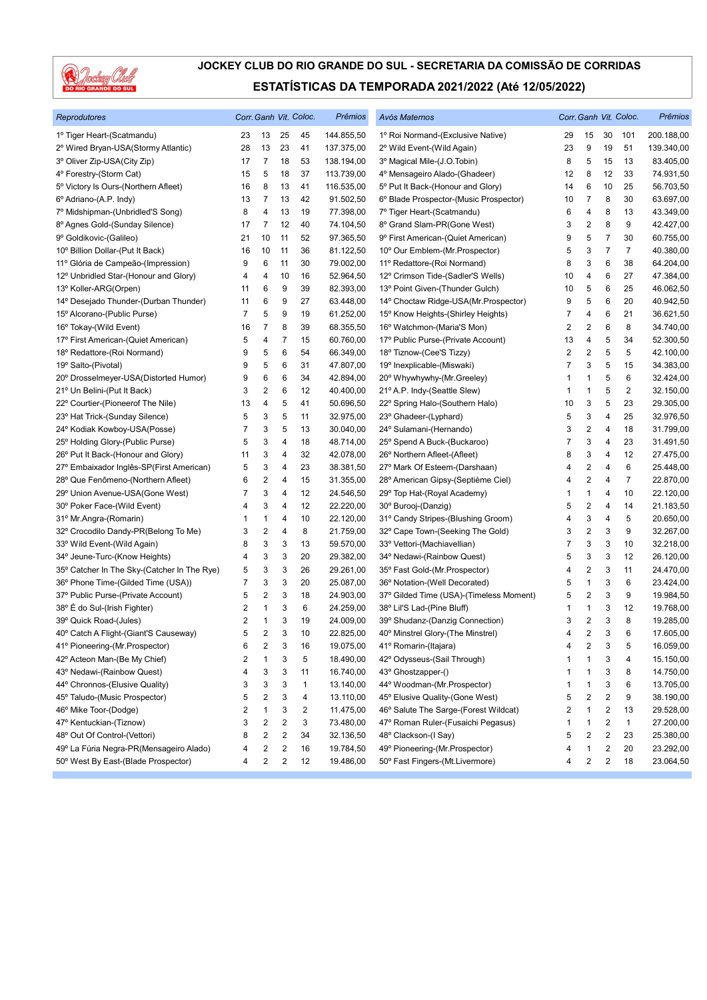

| Reprodutores                                |                |    |                         | Corr. Ganh Vit. Coloc. | Prêmios    | Avós Maternos                           |                         |                         |                         | Corr. Ganh Vit. Coloc. | Prêmios    |
|---------------------------------------------|----------------|----|-------------------------|------------------------|------------|-----------------------------------------|-------------------------|-------------------------|-------------------------|------------------------|------------|
| 1º Tiger Heart-(Scatmandu)                  | 23             | 13 | 25                      | 45                     | 144.855,50 | 1º Roi Normand-(Exclusive Native)       | 29                      | 15                      | 30                      | 101                    | 200.188,00 |
| 2º Wired Bryan-USA(Stormy Atlantic)         | 28             | 13 | 23                      | 41                     | 137.375,00 | 2º Wild Event-(Wild Again)              | 23                      | 9                       | 19                      | 51                     | 139.340,00 |
| 3º Oliver Zip-USA(City Zip)                 | 17             | 7  | 18                      | 53                     | 138.194,00 | 3º Magical Mile-(J.O.Tobin)             | 8                       | 5                       | 15                      | 13                     | 83.405,00  |
| 4° Forestry-(Storm Cat)                     | 15             | 5  | 18                      | 37                     | 113.739,00 | 4º Mensageiro Alado-(Ghadeer)           | 12                      | 8                       | 12                      | 33                     | 74.931,50  |
| 5° Victory Is Ours-(Northern Afleet)        | 16             | 8  | 13                      | 41                     | 116.535,00 | 5° Put It Back-(Honour and Glory)       | 14                      | 6                       | 10                      | 25                     | 56.703,50  |
| 6° Adriano-(A.P. Indy)                      | 13             | 7  | 13                      | 42                     | 91.502,50  | 6° Blade Prospector-(Music Prospector)  | 10                      | 7                       | 8                       | 30                     | 63.697,00  |
| 7º Midshipman-(Unbridled'S Song)            | 8              | 4  | 13                      | 19                     | 77.398,00  | 7º Tiger Heart-(Scatmandu)              | 6                       | 4                       | 8                       | 13                     | 43.349,00  |
| 8º Agnes Gold-(Sunday Silence)              | 17             | 7  | 12                      | 40                     | 74.104,50  | 8º Grand Slam-PR(Gone West)             | 3                       | $\overline{\mathbf{c}}$ | 8                       | 9                      | 42.427,00  |
| 9° Goldikovic-(Galileo)                     | 21             | 10 | 11                      | 52                     | 97.365,50  | 9º First American-(Quiet American)      | 9                       | 5                       | $\overline{7}$          | 30                     | 60.755,00  |
| 10° Billion Dollar-(Put It Back)            | 16             | 10 | 11                      | 36                     | 81.122,50  | 10° Our Emblem-(Mr.Prospector)          | 5                       | 3                       | $\overline{7}$          | 7                      | 40.380,00  |
| 11º Glória de Campeão-(Impression)          | 9              | 6  | 11                      | 30                     | 79.002,00  | 11º Redattore-(Roi Normand)             | 8                       | 3                       | 6                       | 38                     | 64.204,00  |
| 12º Unbridled Star-(Honour and Glory)       | 4              | 4  | 10                      | 16                     | 52.964,50  | 12º Crimson Tide-(Sadler'S Wells)       | 10                      | $\overline{\mathbf{4}}$ | 6                       | 27                     | 47.384,00  |
| 13° Koller-ARG(Orpen)                       | 11             | 6  | 9                       | 39                     | 82.393,00  | 13º Point Given-(Thunder Gulch)         | 10                      | 5                       | 6                       | 25                     | 46.062,50  |
| 14º Desejado Thunder-(Durban Thunder)       | 11             | 6  | 9                       | 27                     | 63.448,00  | 14° Choctaw Ridge-USA(Mr. Prospector)   | 9                       | 5                       | 6                       | 20                     | 40.942,50  |
| 15º Alcorano-(Public Purse)                 | $\overline{7}$ | 5  | 9                       | 19                     | 61.252,00  | 15° Know Heights-(Shirley Heights)      | 7                       | 4                       | 6                       | 21                     | 36.621,50  |
| 16° Tokay-(Wild Event)                      | 16             | 7  | 8                       | 39                     | 68.355,50  | 16° Watchmon-(Maria'S Mon)              | 2                       | 2                       | 6                       | 8                      | 34.740,00  |
| 17º First American-(Quiet American)         | 5              | 4  | 7                       | 15                     | 60.760,00  | 17º Public Purse-(Private Account)      | 13                      | $\overline{\mathbf{4}}$ | 5                       | 34                     | 52.300,50  |
| 18º Redattore-(Roi Normand)                 | 9              | 5  | 6                       | 54                     | 66.349,00  | 18º Tiznow-(Cee'S Tizzy)                | $\overline{\mathbf{c}}$ | $\overline{2}$          | 5                       | 5                      | 42.100,00  |
| 19º Salto-(Pivotal)                         | 9              | 5  | 6                       | 31                     | 47.807,00  | 19º Inexplicable-(Miswaki)              | $\overline{7}$          | 3                       | 5                       | 15                     | 34.383,00  |
| 20° Drosselmeyer-USA(Distorted Humor)       | 9              | 6  | 6                       | 34                     | 42.894,00  | 20° Whywhywhy-(Mr.Greeley)              | 1                       | 1                       | 5                       | 6                      | 32.424,00  |
| 21º Un Belini-(Put It Back)                 | 3              | 2  | 6                       | 12                     | 40.400,00  | 21º A.P. Indy-(Seattle Slew)            | 1                       | $\mathbf{1}$            | 5                       | 2                      | 32.150,00  |
| 22° Courtier-(Pioneerof The Nile)           | 13             | 4  | 5                       | 41                     | 50.696,50  | 22° Spring Halo-(Southern Halo)         | 10                      | 3                       | 5                       | 23                     | 29.305,00  |
| 23º Hat Trick-(Sunday Silence)              | 5              | 3  | 5                       | 11                     | 32.975,00  | 23° Ghadeer-(Lyphard)                   | 5                       | 3                       | 4                       | 25                     | 32.976,50  |
| 24° Kodiak Kowboy-USA(Posse)                | 7              | 3  | 5                       | 13                     | 30.040,00  | 24° Sulamani-(Hernando)                 | 3                       | $\overline{2}$          | 4                       | 18                     | 31.799,00  |
| 25° Holding Glory-(Public Purse)            | 5              | 3  | 4                       | 18                     | 48.714,00  | 25° Spend A Buck-(Buckaroo)             | 7                       | 3                       | 4                       | 23                     | 31.491,50  |
| 26° Put It Back-(Honour and Glory)          | 11             | 3  | 4                       | 32                     | 42.078,00  | 26° Northern Afleet-(Afleet)            | 8                       | 3                       | 4                       | 12                     | 27.475,00  |
| 27º Embaixador Inglês-SP(First American)    | 5              | 3  | 4                       | 23                     | 38.381,50  | 27º Mark Of Esteem-(Darshaan)           | 4                       | $\overline{2}$          | 4                       | 6                      | 25.448,00  |
| 28° Que Fenômeno-(Northern Afleet)          | 6              | 2  | 4                       | 15                     | 31.355,00  | 28º American Gipsy-(Septième Ciel)      | 4                       | $\overline{c}$          | 4                       | 7                      | 22.870,00  |
| 29° Union Avenue-USA(Gone West)             | 7              | 3  | 4                       | 12                     | 24.546,50  | 29° Top Hat-(Royal Academy)             | 1                       | $\mathbf{1}$            | 4                       | 10                     | 22.120,00  |
| 30° Poker Face-(Wild Event)                 | 4              | 3  | 4                       | 12                     | 22.220,00  | 30° Burooj-(Danzig)                     | 5                       | $\overline{\mathbf{c}}$ | 4                       | 14                     | 21.183,50  |
| 31º Mr.Angra-(Romarin)                      | 1              | 1  | 4                       | 10                     | 22.120,00  | 31° Candy Stripes-(Blushing Groom)      | 4                       | 3                       | 4                       | 5                      | 20.650,00  |
| 32° Crocodilo Dandy-PR(Belong To Me)        | 3              | 2  | 4                       | 8                      | 21.759,00  | 32° Cape Town-(Seeking The Gold)        | 3                       | $\boldsymbol{2}$        | 3                       | 9                      | 32.267,00  |
| 33° Wild Event-(Wild Again)                 | 8              | 3  | 3                       | 13                     | 59.570,00  | 33º Vettori-(Machiavellian)             | 7                       | 3                       | 3                       | 10                     | 32.218,00  |
| 34° Jeune-Turc-(Know Heights)               | 4              | 3  | 3                       | 20                     | 29.382,00  | 34° Nedawi-(Rainbow Quest)              | 5                       | 3                       | 3                       | 12                     | 26.120,00  |
| 35° Catcher In The Sky-(Catcher In The Rye) | 5              | 3  | 3                       | 26                     | 29.261,00  | 35° Fast Gold-(Mr.Prospector)           | 4                       | 2                       | 3                       | 11                     | 24.470,00  |
| 36° Phone Time-(Gilded Time (USA))          | 7              | 3  | 3                       | 20                     | 25.087,00  | 36° Notation-(Well Decorated)           | 5                       | $\mathbf{1}$            | 3                       | 6                      | 23.424,00  |
| 37º Public Purse-(Private Account)          | 5              | 2  | 3                       | 18                     | 24.903,00  | 37° Gilded Time (USA)-(Timeless Moment) | 5                       | $\overline{c}$          | 3                       | 9                      | 19.984,50  |
| 38° É do Sul-(Irish Fighter)                | 2              | 1  | 3                       | 6                      | 24.259,00  | 38° Lil'S Lad-(Pine Bluff)              | 1                       | $\mathbf{1}$            | 3                       | 12                     | 19.768,00  |
| 39° Quick Road-(Jules)                      | 2              | 1  | 3                       | 19                     | 24.009,00  | 39° Shudanz-(Danzig Connection)         | 3                       | $\overline{c}$          | 3                       | 8                      | 19.285,00  |
| 40° Catch A Flight-(Giant'S Causeway)       | 5              | 2  | 3                       | 10                     | 22.825,00  | 40° Minstrel Glory-(The Minstrel)       | 4                       | 2                       | 3                       | 6                      | 17.605,00  |
| 41º Pioneering-(Mr.Prospector)              | 6              | 2  | 3                       | 16                     | 19.075,00  | 41º Romarin-(Itajara)                   | 4                       | $\overline{c}$          | 3                       | 5                      | 16.059,00  |
| 42º Acteon Man-(Be My Chief)                | 2              | 1  | 3                       | 5                      | 18.490,00  | 42° Odysseus-(Sail Through)             | 1                       | $\mathbf{1}$            | 3                       | 4                      | 15.150,00  |
| 43° Nedawi-(Rainbow Quest)                  | 4              | 3  | 3                       | 11                     | 16.740,00  | 43° Ghostzapper-()                      | 1                       | 1                       | 3                       | 8                      | 14.750,00  |
| 44° Chronnos-(Elusive Quality)              | 3              | 3  | 3                       | 1                      | 13.140,00  | 44° Woodman-(Mr.Prospector)             | 1                       | 1                       | 3                       | 6                      | 13.705,00  |
| 45° Taludo-(Music Prospector)               | 5              | 2  | 3                       | 4                      | 13.110,00  | 45° Elusive Quality-(Gone West)         | 5                       | 2                       | 2                       | 9                      | 38.190,00  |
| 46° Mike Toor-(Dodge)                       | 2              | 1  | 3                       | $\overline{2}$         | 11.475,00  | 46° Salute The Sarge-(Forest Wildcat)   | 2                       | $\mathbf{1}$            | $\overline{\mathbf{c}}$ | 13                     | 29.528,00  |
| 47º Kentuckian-(Tiznow)                     | 3              | 2  | $\overline{\mathbf{c}}$ | 3                      | 73.480,00  | 47º Roman Ruler-(Fusaichi Pegasus)      | 1                       | $\mathbf{1}$            | 2                       | $\mathbf{1}$           | 27.200,00  |
| 48° Out Of Control-(Vettori)                | 8              | 2  | 2                       | 34                     | 32.136,50  | 48° Clackson-(I Say)                    | 5                       | $\overline{\mathbf{c}}$ | $\overline{\mathbf{c}}$ | 23                     | 25.380,00  |
| 49º La Fúria Negra-PR(Mensageiro Alado)     | 4              | 2  | 2                       | 16                     | 19.784,50  | 49° Pioneering-(Mr.Prospector)          | 4                       | 1                       | 2                       | 20                     | 23.292,00  |
| 50° West By East-(Blade Prospector)         | 4              | 2  | $\overline{\mathbf{c}}$ | 12                     | 19.486,00  | 50° Fast Fingers-(Mt.Livermore)         | 4                       | $\overline{\mathbf{c}}$ | $\overline{c}$          | 18                     | 23.064,50  |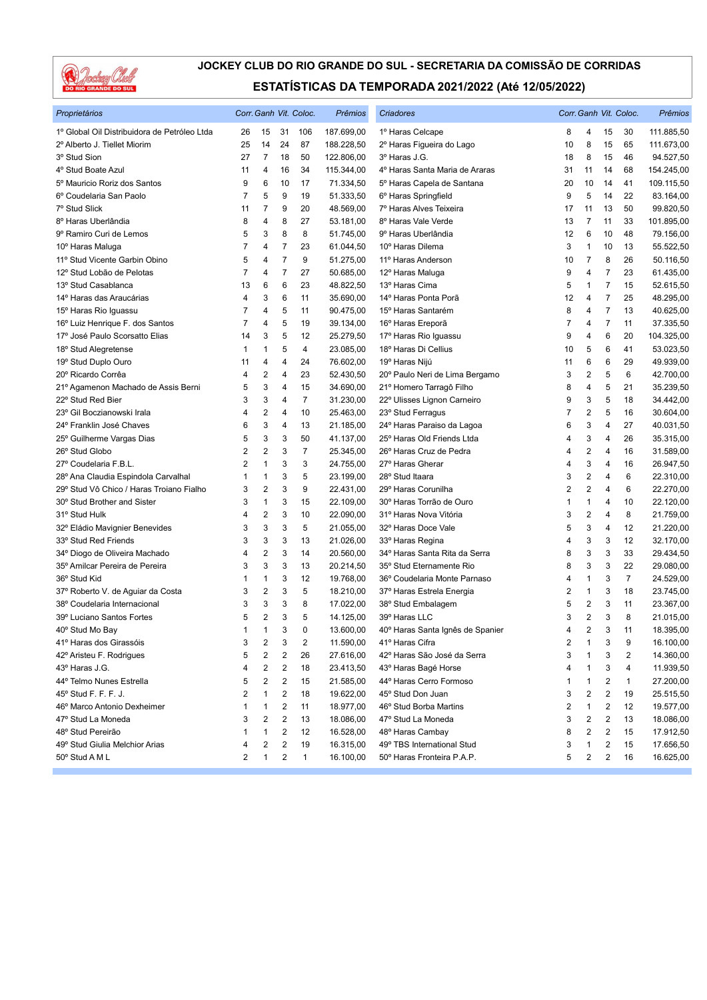

| Proprietários                                | Corr. Ganh Vit. Coloc. |                         |                  |                | <b>Prêmios</b> | <b>Criadores</b>                 |                |                         |                         | Corr. Ganh Vit. Coloc. | Prêmios    |
|----------------------------------------------|------------------------|-------------------------|------------------|----------------|----------------|----------------------------------|----------------|-------------------------|-------------------------|------------------------|------------|
| 1º Global Oil Distribuidora de Petróleo Ltda | 26                     | 15                      | 31               | 106            | 187.699,00     | 1º Haras Celcape                 | 8              | 4                       | 15                      | 30                     | 111.885,50 |
| 2º Alberto J. Tiellet Miorim                 | 25                     | 14                      | 24               | 87             | 188.228,50     | 2º Haras Figueira do Lago        | 10             | 8                       | 15                      | 65                     | 111.673,00 |
| 3º Stud Sion                                 | 27                     | $\overline{7}$          | 18               | 50             | 122.806,00     | 3º Haras J.G.                    | 18             | 8                       | 15                      | 46                     | 94.527,50  |
| 4° Stud Boate Azul                           | 11                     | 4                       | 16               | 34             | 115.344,00     | 4º Haras Santa Maria de Araras   | 31             | 11                      | 14                      | 68                     | 154.245,00 |
| 5º Mauricio Roriz dos Santos                 | 9                      | 6                       | 10               | 17             | 71.334,50      | 5º Haras Capela de Santana       | 20             | 10                      | 14                      | 41                     | 109.115,50 |
| 6° Coudelaria San Paolo                      | 7                      | 5                       | 9                | 19             | 51.333,50      | 6° Haras Springfield             | 9              | 5                       | 14                      | 22                     | 83.164,00  |
| 7º Stud Slick                                | 11                     | $\overline{7}$          | 9                | 20             | 48.569,00      | 7º Haras Alves Teixeira          | 17             | 11                      | 13                      | 50                     | 99.820,50  |
| 8º Haras Uberlândia                          | 8                      | 4                       | 8                | 27             | 53.181,00      | 8º Haras Vale Verde              | 13             | $\overline{7}$          | 11                      | 33                     | 101.895,00 |
| 9º Ramiro Curi de Lemos                      | 5                      | 3                       | 8                | 8              | 51.745,00      | 9º Haras Uberlândia              | 12             | 6                       | 10                      | 48                     | 79.156,00  |
| 10° Haras Maluga                             | 7                      | 4                       | $\overline{7}$   | 23             | 61.044,50      | 10° Haras Dilema                 | 3              | 1                       | 10                      | 13                     | 55.522,50  |
| 11º Stud Vicente Garbin Obino                | 5                      | 4                       | $\overline{7}$   | 9              | 51.275,00      | 11º Haras Anderson               | 10             | 7                       | 8                       | 26                     | 50.116,50  |
| 12º Stud Lobão de Pelotas                    | 7                      | 4                       | $\overline{7}$   | 27             | 50.685,00      | 12º Haras Maluga                 | 9              | 4                       | 7                       | 23                     | 61.435,00  |
| 13º Stud Casablanca                          | 13                     | 6                       | 6                | 23             | 48.822,50      | 13º Haras Cima                   | 5              | 1                       | 7                       | 15                     | 52.615,50  |
| 14º Haras das Araucárias                     | 4                      | 3                       | 6                | 11             | 35.690,00      | 14º Haras Ponta Porã             | 12             | 4                       | 7                       | 25                     | 48.295,00  |
| 15° Haras Rio Iguassu                        | 7                      | 4                       | 5                | 11             | 90.475,00      | 15° Haras Santarém               | 8              | 4                       | 7                       | 13                     | 40.625,00  |
| 16° Luiz Henrique F. dos Santos              | 7                      | 4                       | 5                | 19             | 39.134,00      | 16° Haras Ereporã                | 7              | 4                       | $\overline{7}$          | 11                     | 37.335,50  |
| 17º José Paulo Scorsatto Elias               | 14                     | 3                       | 5                | 12             | 25.279,50      | 17º Haras Rio Iguassu            | 9              | 4                       | 6                       | 20                     | 104.325,00 |
| 18° Stud Alegretense                         | $\mathbf{1}$           | 1                       | 5                | 4              | 23.085,00      | 18º Haras Di Cellius             | 10             | 5                       | 6                       | 41                     | 53.023,50  |
| 19° Stud Duplo Ouro                          | 11                     | 4                       | 4                | 24             | 76.602,00      | 19º Haras Nijú                   | 11             | 6                       | 6                       | 29                     | 49.939,00  |
| 20° Ricardo Corrêa                           | 4                      | $\overline{2}$          | 4                | 23             | 52.430,50      | 20° Paulo Neri de Lima Bergamo   | 3              | $\overline{c}$          | 5                       | 6                      | 42.700,00  |
| 21º Agamenon Machado de Assis Berni          | 5                      | 3                       | 4                | 15             | 34.690,00      | 21º Homero Tarragô Filho         | 8              | 4                       | 5                       | 21                     | 35.239,50  |
| 22° Stud Red Bier                            | 3                      | 3                       | 4                | $\overline{7}$ | 31.230,00      | 22º Ulisses Lignon Carneiro      | 9              | 3                       | 5                       | 18                     | 34.442,00  |
| 23° Gil Boczianowski Irala                   | 4                      | $\overline{2}$          | 4                | 10             | 25.463,00      | 23° Stud Ferragus                | $\overline{7}$ | $\overline{2}$          | 5                       | 16                     | 30.604,00  |
| 24º Franklin José Chaves                     | 6                      | 3                       | 4                | 13             | 21.185,00      | 24º Haras Paraiso da Lagoa       | 6              | 3                       | 4                       | 27                     | 40.031,50  |
| 25° Guilherme Vargas Dias                    | 5                      | 3                       | 3                | 50             | 41.137,00      | 25° Haras Old Friends Ltda       | 4              | 3                       | 4                       | 26                     | 35.315,00  |
| 26° Stud Globo                               | $\overline{2}$         | $\overline{2}$          | 3                | $\overline{7}$ | 25.345,00      | 26° Haras Cruz de Pedra          | 4              | $\overline{2}$          | 4                       | 16                     | 31.589,00  |
| 27º Coudelaria F.B.L.                        | $\overline{2}$         | 1                       | 3                | 3              | 24.755,00      | 27º Haras Gherar                 | 4              | 3                       | 4                       | 16                     | 26.947,50  |
| 28º Ana Claudia Espindola Carvalhal          | 1                      | 1                       | 3                | 5              | 23.199,00      | 28° Stud Itaara                  | 3              | $\overline{c}$          | 4                       | 6                      | 22.310,00  |
| 29° Stud Vô Chico / Haras Troiano Fialho     | 3                      | $\overline{2}$          | 3                | 9              | 22.431,00      | 29° Haras Corunilha              | 2              | $\overline{2}$          | 4                       | 6                      | 22.270,00  |
| 30° Stud Brother and Sister                  | 3                      | $\mathbf{1}$            | 3                | 15             | 22.109,00      | 30° Haras Torrão de Ouro         | $\mathbf{1}$   | 1                       | 4                       | 10                     | 22.120,00  |
| 31º Stud Hulk                                | 4                      | $\overline{2}$          | 3                | 10             | 22.090,00      | 31º Haras Nova Vitória           | 3              | $\overline{2}$          | 4                       | 8                      | 21.759,00  |
| 32º Eládio Mavignier Benevides               | 3                      | 3                       | 3                | 5              | 21.055,00      | 32º Haras Doce Vale              | 5              | 3                       | 4                       | 12                     | 21.220,00  |
| 33° Stud Red Friends                         | 3                      | 3                       | 3                | 13             | 21.026,00      | 33º Haras Regina                 | 4              | 3                       | 3                       | 12                     | 32.170,00  |
| 34º Diogo de Oliveira Machado                | 4                      | $\overline{2}$          | 3                | 14             | 20.560,00      | 34º Haras Santa Rita da Serra    | 8              | 3                       | 3                       | 33                     | 29.434,50  |
| 35º Amilcar Pereira de Pereira               | 3                      | 3                       | 3                | 13             | 20.214,50      | 35° Stud Eternamente Rio         | 8              | 3                       | 3                       | 22                     | 29.080,00  |
| 36° Stud Kid                                 | 1                      | $\mathbf{1}$            | 3                | 12             | 19.768,00      | 36º Coudelaria Monte Parnaso     | 4              | 1                       | 3                       | $\overline{7}$         | 24.529,00  |
| 37º Roberto V. de Aguiar da Costa            | 3                      | $\overline{2}$          | 3                | 5              | 18.210,00      | 37º Haras Estrela Energia        | $\overline{2}$ | 1                       | 3                       | 18                     | 23.745,00  |
| 38° Coudelaria Internacional                 | 3                      | 3                       | 3                | 8              | 17.022,00      | 38° Stud Embalagem               | 5              | $\overline{2}$          | 3                       | 11                     | 23.367,00  |
| 39º Luciano Santos Fortes                    | 5                      | 2                       | 3                | 5              | 14.125,00      | 39° Haras LLC                    | 3              | $\overline{2}$          | 3                       | 8                      | 21.015,00  |
| 40° Stud Mo Bay                              | $\mathbf{1}$           | $\mathbf{1}$            | 3                | $\Omega$       | 13.600,00      | 40° Haras Santa Ignês de Spanier | 4              | $\overline{2}$          | 3                       | 11                     | 18.395,00  |
| 41º Haras dos Girassóis                      | 3                      | $\overline{2}$          | 3                | $\overline{c}$ | 11.590,00      | 41º Haras Cifra                  | 2              | 1                       | 3                       | 9                      | 16.100,00  |
| 42º Aristeu F. Rodrigues                     | 5                      | $\overline{2}$          | 2                | 26             | 27.616,00      | 42º Haras São José da Serra      | 3              | 1                       | 3                       | $\overline{2}$         | 14.360,00  |
| 43º Haras J.G.                               | 4                      | 2                       | 2                | 18             | 23.413,50      | 43º Haras Bagé Horse             | 4              | 1                       | 3                       | $\overline{4}$         | 11.939,50  |
| 44º Telmo Nunes Estrella                     | 5                      | $\overline{2}$          | $\boldsymbol{2}$ | 15             | 21.585,00      | 44º Haras Cerro Formoso          | 1              | 1                       | $\overline{\mathbf{c}}$ | $\mathbf{1}$           | 27.200,00  |
| 45° Stud F. F. F. J.                         | 2                      | $\mathbf{1}$            | $\boldsymbol{2}$ | 18             | 19.622,00      | 45° Stud Don Juan                | 3              | $\overline{\mathbf{c}}$ | $\boldsymbol{2}$        | 19                     | 25.515,50  |
| 46° Marco Antonio Dexheimer                  | 1                      | $\mathbf{1}$            | 2                | 11             | 18.977,00      | 46° Stud Borba Martins           | 2              | 1                       | $\overline{\mathbf{c}}$ | 12                     | 19.577,00  |
| 47° Stud La Moneda                           | 3                      | $\overline{2}$          | 2                | 13             | 18.086,00      | 47° Stud La Moneda               | 3              | $\overline{\mathbf{c}}$ | $\overline{\mathbf{c}}$ | 13                     | 18.086,00  |
| 48º Stud Pereirão                            | 1                      | 1                       | 2                | 12             | 16.528,00      | 48° Haras Cambay                 | 8              | 2                       | $\overline{\mathbf{c}}$ | 15                     | 17.912,50  |
| 49° Stud Giulia Melchior Arias               | 4                      | $\overline{\mathbf{c}}$ | $\boldsymbol{2}$ | 19             | 16.315,00      | 49° TBS International Stud       | 3              | 1                       | $\overline{\mathbf{c}}$ | 15                     | 17.656,50  |
| 50° Stud A M L                               | $\overline{2}$         | $\mathbf{1}$            | $\sqrt{2}$       | 1              | 16.100,00      | 50° Haras Fronteira P.A.P.       | 5              | $\overline{\mathbf{c}}$ | $\overline{\mathbf{c}}$ | 16                     | 16.625,00  |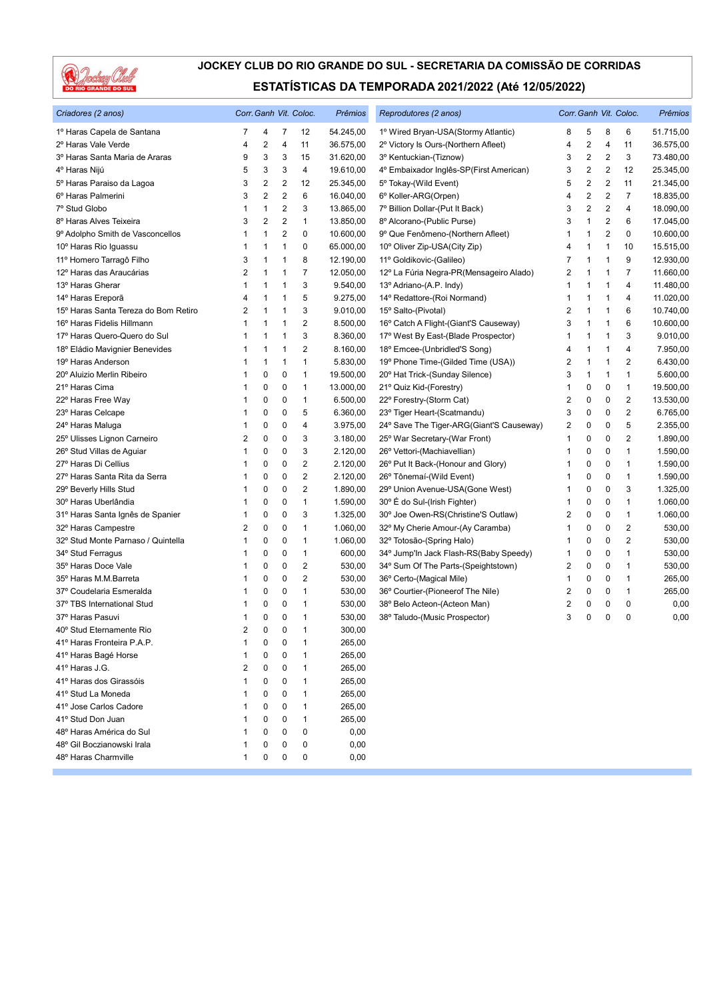

| Criadores (2 anos)                   |                | Corr. Ganh Vit. Coloc.  |                |                         | Prêmios   | Reprodutores (2 anos)                    | Corr. Ganh Vit. Coloc. |                |                |                  | Prêmios   |
|--------------------------------------|----------------|-------------------------|----------------|-------------------------|-----------|------------------------------------------|------------------------|----------------|----------------|------------------|-----------|
| 1º Haras Capela de Santana           | 7              | 4                       | 7              | 12                      | 54.245,00 | 1º Wired Bryan-USA (Stormy Atlantic)     | 8                      | 5              | 8              | 6                | 51.715,00 |
| 2º Haras Vale Verde                  | 4              | $\overline{2}$          | $\overline{4}$ | 11                      | 36.575,00 | 2º Victory Is Ours-(Northern Afleet)     | 4                      | 2              | 4              | 11               | 36.575,00 |
| 3º Haras Santa Maria de Araras       | 9              | 3                       | 3              | 15                      | 31.620,00 | 3º Kentuckian-(Tiznow)                   | 3                      | 2              | 2              | 3                | 73.480,00 |
| 4º Haras Nijú                        | 5              | 3                       | 3              | 4                       | 19.610,00 | 4º Embaixador Inglês-SP(First American)  | 3                      | 2              | 2              | 12               | 25.345,00 |
| 5º Haras Paraiso da Lagoa            | 3              | $\overline{\mathbf{c}}$ | 2              | 12                      | 25.345,00 | 5° Tokay-(Wild Event)                    | 5                      | 2              | 2              | 11               | 21.345,00 |
| 6º Haras Palmerini                   | 3              | $\overline{2}$          | 2              | 6                       | 16.040,00 | 6° Koller-ARG(Orpen)                     | 4                      | 2              | 2              | $\overline{7}$   | 18.835,00 |
| 7º Stud Globo                        | 1              | $\mathbf{1}$            | $\overline{c}$ | 3                       | 13.865,00 | 7º Billion Dollar-(Put It Back)          | 3                      | $\overline{2}$ | $\overline{2}$ | $\overline{4}$   | 18.090,00 |
| 8º Haras Alves Teixeira              | 3              | $\overline{2}$          | $\overline{2}$ | $\mathbf{1}$            | 13.850,00 | 8º Alcorano-(Public Purse)               | 3                      | 1              | 2              | 6                | 17.045,00 |
| 9º Adolpho Smith de Vasconcellos     | 1              | $\mathbf{1}$            | $\overline{c}$ | 0                       | 10.600,00 | 9º Que Fenômeno-(Northern Afleet)        | 1                      | 1              | 2              | $\mathbf 0$      | 10.600,00 |
| 10° Haras Rio Iguassu                | 1              | $\mathbf{1}$            | 1              | 0                       | 65.000,00 | 10° Oliver Zip-USA(City Zip)             | 4                      | 1              | 1              | 10               | 15.515,00 |
| 11º Homero Tarragô Filho             | 3              | $\mathbf{1}$            | 1              | 8                       | 12.190,00 | 11º Goldikovic-(Galileo)                 | 7                      | 1              | 1              | 9                | 12.930,00 |
| 12º Haras das Araucárias             | $\overline{2}$ | $\mathbf{1}$            | 1              | $\overline{7}$          | 12.050,00 | 12º La Fúria Negra-PR(Mensageiro Alado)  | $\overline{2}$         | 1              | 1              | $\overline{7}$   | 11.660,00 |
| 13º Haras Gherar                     | 1              | $\mathbf 1$             | 1              | 3                       | 9.540,00  | 13º Adriano-(A.P. Indy)                  | 1                      | 1              | 1              | 4                | 11.480,00 |
| 14º Haras Ereporã                    | 4              | $\mathbf{1}$            | 1              | 5                       | 9.275,00  | 14º Redattore-(Roi Normand)              | 1                      | 1              | 1              | $\overline{4}$   | 11.020,00 |
| 15º Haras Santa Tereza do Bom Retiro | 2              | 1                       | 1              | 3                       | 9.010,00  | 15° Salto-(Pivotal)                      | $\overline{2}$         | 1              | 1              | 6                | 10.740,00 |
| 16° Haras Fidelis Hillmann           | 1              | $\overline{1}$          | 1              | $\overline{2}$          | 8.500,00  | 16° Catch A Flight-(Giant'S Causeway)    | 3                      | 1              | 1              | 6                | 10.600,00 |
| 17º Haras Quero-Quero do Sul         | 1              | 1                       | 1              | 3                       | 8.360,00  | 17º West By East-(Blade Prospector)      | 1                      | 1              | 1              | 3                | 9.010,00  |
| 18º Eládio Mavignier Benevides       | 1              | $\mathbf{1}$            | 1              | $\overline{2}$          | 8.160,00  | 18° Emcee-(Unbridled'S Song)             | 4                      | 1              | 1              | 4                | 7.950,00  |
| 19° Haras Anderson                   | 1              | $\mathbf{1}$            | $\mathbf{1}$   | 1                       | 5.830,00  | 19° Phone Time-(Gilded Time (USA))       | 2                      | 1              | 1              | $\overline{2}$   | 6.430,00  |
| 20° Aluizio Merlin Ribeiro           | 1              | 0                       | 0              | 1                       | 19.500,00 | 20° Hat Trick-(Sunday Silence)           | 3                      | 1              | 1              | $\mathbf{1}$     | 5.600,00  |
| 21º Haras Cima                       | 1              | 0                       | $\pmb{0}$      | $\mathbf{1}$            | 13.000,00 | 21º Quiz Kid-(Forestry)                  | 1                      | 0              | 0              | $\mathbf{1}$     | 19.500,00 |
| 22º Haras Free Way                   | 1              | 0                       | $\pmb{0}$      | $\mathbf{1}$            | 6.500,00  | 22° Forestry-(Storm Cat)                 | 2                      | 0              | 0              | $\boldsymbol{2}$ | 13.530,00 |
| 23º Haras Celcape                    | 1              | 0                       | 0              | 5                       | 6.360,00  | 23º Tiger Heart-(Scatmandu)              | 3                      | 0              | 0              | $\overline{2}$   | 6.765,00  |
| 24° Haras Maluga                     | 1              | 0                       | 0              | 4                       | 3.975,00  | 24° Save The Tiger-ARG(Giant'S Causeway) | 2                      | 0              | 0              | 5                | 2.355,00  |
| 25° Ulisses Lignon Carneiro          | 2              | 0                       | 0              | 3                       | 3.180,00  | 25° War Secretary-(War Front)            | 1                      | 0              | 0              | 2                | 1.890,00  |
| 26° Stud Villas de Aguiar            | 1              | 0                       | $\pmb{0}$      | 3                       | 2.120,00  | 26° Vettori-(Machiavellian)              | 1                      | 0              | 0              | $\mathbf{1}$     | 1.590,00  |
| 27º Haras Di Cellius                 | 1              | 0                       | $\pmb{0}$      | $\overline{\mathbf{c}}$ | 2.120,00  | 26° Put It Back-(Honour and Glory)       | 1                      | 0              | 0              | $\mathbf{1}$     | 1.590,00  |
| 27º Haras Santa Rita da Serra        | 1              | 0                       | 0              | 2                       | 2.120,00  | 26° Tônemaí-(Wild Event)                 | 1                      | 0              | 0              | $\mathbf{1}$     | 1.590,00  |
| 29° Beverly Hills Stud               | 1              | 0                       | 0              | 2                       | 1.890,00  | 29° Union Avenue-USA(Gone West)          | 1                      | 0              | 0              | 3                | 1.325,00  |
| 30° Haras Uberlândia                 | 1              | 0                       | 0              | 1                       | 1.590,00  | 30° É do Sul-(Irish Fighter)             | 1                      | 0              | 0              | $\mathbf{1}$     | 1.060,00  |
| 31º Haras Santa Ignês de Spanier     | 1              | 0                       | $\pmb{0}$      | 3                       | 1.325,00  | 30° Joe Owen-RS(Christine'S Outlaw)      | 2                      | 0              | 0              | 1                | 1.060,00  |
| 32º Haras Campestre                  | 2              | 0                       | 0              | 1                       | 1.060,00  | 32° My Cherie Amour-(Ay Caramba)         | 1                      | 0              | 0              | $\overline{2}$   | 530,00    |
| 32º Stud Monte Parnaso / Quintella   | 1              | 0                       | 0              | $\mathbf{1}$            | 1.060,00  | 32º Totosão-(Spring Halo)                | 1                      | 0              | 0              | $\overline{2}$   | 530,00    |
| 34° Stud Ferragus                    | 1              | 0                       | 0              | 1                       | 600,00    | 34° Jump'ln Jack Flash-RS(Baby Speedy)   | 1                      | 0              | 0              | 1                | 530,00    |
| 35° Haras Doce Vale                  | 1              | 0                       | 0              | 2                       | 530,00    | 34° Sum Of The Parts-(Speightstown)      | 2                      | 0              | 0              | 1                | 530,00    |
| 35° Haras M.M.Barreta                | 1              | 0                       | 0              | $\overline{2}$          | 530,00    | 36° Certo-(Magical Mile)                 | 1                      | 0              | 0              | $\mathbf{1}$     | 265,00    |
| 37º Coudelaria Esmeralda             | 1              | 0                       | 0              | 1                       | 530,00    | 36° Courtier-(Pioneerof The Nile)        | 2                      | 0              | 0              | 1                | 265,00    |
| 37º TBS International Stud           | 1              | 0                       | 0              | 1                       | 530,00    | 38° Belo Acteon-(Acteon Man)             | 2                      | 0              | 0              | 0                | 0,00      |
| 37º Haras Pasuvi                     | 1              | 0                       | 0              | 1                       | 530,00    | 38° Taludo-(Music Prospector)            | 3                      | 0              | 0              | $\mathbf 0$      | 0,00      |
| 40° Stud Eternamente Rio             | $\overline{2}$ | 0                       | 0              | 1                       | 300,00    |                                          |                        |                |                |                  |           |
| 41º Haras Fronteira P.A.P.           | 1              | 0                       | 0              | $\mathbf{1}$            | 265,00    |                                          |                        |                |                |                  |           |
| 41º Haras Bagé Horse                 |                | 0                       | 0              | 1                       | 265,00    |                                          |                        |                |                |                  |           |
| 41º Haras J.G.                       | 2              | 0                       | 0              | $\mathbf{1}$            | 265,00    |                                          |                        |                |                |                  |           |
| 41º Haras dos Girassóis              | 1              | 0                       | 0              | 1                       | 265,00    |                                          |                        |                |                |                  |           |
| 41º Stud La Moneda                   | 1              | $\mathbf 0$             | $\pmb{0}$      | $\mathbf{1}$            | 265,00    |                                          |                        |                |                |                  |           |
| 41º Jose Carlos Cadore               | 1              | $\mathbf 0$             | 0              | $\mathbf{1}$            | 265,00    |                                          |                        |                |                |                  |           |
| 41º Stud Don Juan                    | 1              | 0                       | 0              | 1                       | 265,00    |                                          |                        |                |                |                  |           |
| 48º Haras América do Sul             | 1              | $\Omega$                | 0              | 0                       | 0,00      |                                          |                        |                |                |                  |           |
| 48° Gil Boczianowski Irala           | 1              | 0                       | 0              | 0                       | 0,00      |                                          |                        |                |                |                  |           |
| 48° Haras Charmville                 | 1              | 0                       | 0              | 0                       | 0,00      |                                          |                        |                |                |                  |           |
|                                      |                |                         |                |                         |           |                                          |                        |                |                |                  |           |